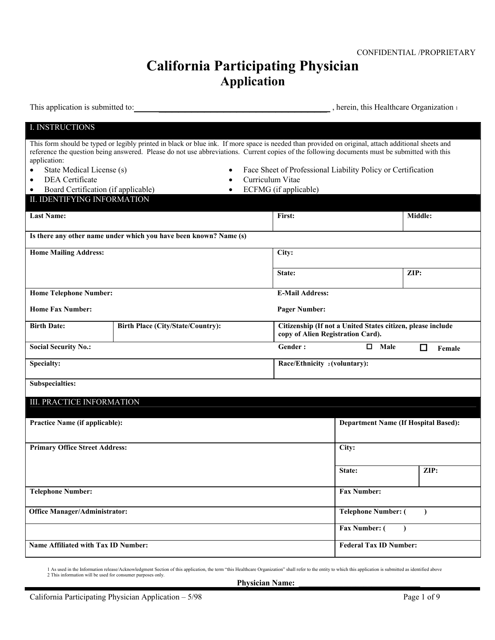# **California Participating Physician Application**

This application is submitted to: **with a submitted to:** , herein, this Healthcare Organization 1

| <b>I. INSTRUCTIONS</b>                                                          |                                                                                                                                                                                                                                                                                                     |                                   |                                                              |             |
|---------------------------------------------------------------------------------|-----------------------------------------------------------------------------------------------------------------------------------------------------------------------------------------------------------------------------------------------------------------------------------------------------|-----------------------------------|--------------------------------------------------------------|-------------|
| application:                                                                    | This form should be typed or legibly printed in black or blue ink. If more space is needed than provided on original, attach additional sheets and<br>reference the question being answered. Please do not use abbreviations. Current copies of the following documents must be submitted with this |                                   |                                                              |             |
| State Medical License (s)<br>$\bullet$                                          |                                                                                                                                                                                                                                                                                                     |                                   | Face Sheet of Professional Liability Policy or Certification |             |
| DEA Certificate<br>$\bullet$                                                    | $\bullet$                                                                                                                                                                                                                                                                                           | Curriculum Vitae                  |                                                              |             |
| Board Certification (if applicable)<br>$\bullet$<br>II. IDENTIFYING INFORMATION | $\bullet$                                                                                                                                                                                                                                                                                           | ECFMG (if applicable)             |                                                              |             |
|                                                                                 |                                                                                                                                                                                                                                                                                                     |                                   |                                                              |             |
| <b>Last Name:</b>                                                               |                                                                                                                                                                                                                                                                                                     | First:                            |                                                              | Middle:     |
|                                                                                 | Is there any other name under which you have been known? Name (s)                                                                                                                                                                                                                                   |                                   |                                                              |             |
| <b>Home Mailing Address:</b>                                                    |                                                                                                                                                                                                                                                                                                     | City:                             |                                                              |             |
|                                                                                 |                                                                                                                                                                                                                                                                                                     | State:                            |                                                              | ZIP:        |
| <b>Home Telephone Number:</b>                                                   |                                                                                                                                                                                                                                                                                                     | <b>E-Mail Address:</b>            |                                                              |             |
| <b>Home Fax Number:</b>                                                         |                                                                                                                                                                                                                                                                                                     | <b>Pager Number:</b>              |                                                              |             |
| <b>Birth Date:</b>                                                              | <b>Birth Place (City/State/Country):</b>                                                                                                                                                                                                                                                            | copy of Alien Registration Card). | Citizenship (If not a United States citizen, please include  |             |
|                                                                                 |                                                                                                                                                                                                                                                                                                     |                                   |                                                              |             |
| <b>Social Security No.:</b>                                                     |                                                                                                                                                                                                                                                                                                     | Gender:                           | 0<br>Male                                                    | П<br>Female |
| Specialty:                                                                      |                                                                                                                                                                                                                                                                                                     | Race/Ethnicity 2(voluntary):      |                                                              |             |
| Subspecialties:                                                                 |                                                                                                                                                                                                                                                                                                     |                                   |                                                              |             |
| III. PRACTICE INFORMATION                                                       |                                                                                                                                                                                                                                                                                                     |                                   |                                                              |             |
| Practice Name (if applicable):                                                  |                                                                                                                                                                                                                                                                                                     |                                   | <b>Department Name (If Hospital Based):</b>                  |             |
| <b>Primary Office Street Address:</b>                                           |                                                                                                                                                                                                                                                                                                     |                                   | City:                                                        |             |
|                                                                                 |                                                                                                                                                                                                                                                                                                     |                                   | State:                                                       | ZIP:        |
| <b>Telephone Number:</b>                                                        |                                                                                                                                                                                                                                                                                                     |                                   | <b>Fax Number:</b>                                           |             |
| <b>Office Manager/Administrator:</b>                                            |                                                                                                                                                                                                                                                                                                     |                                   | <b>Telephone Number: (</b>                                   |             |
|                                                                                 |                                                                                                                                                                                                                                                                                                     |                                   | Fax Number: (                                                | $\lambda$   |

1 As used in the Information release/Acknowledgment Section of this application, the term "this Healthcare Organization" shall refer to the entity to which this application is submitted as identified above 2 This information will be used for consumer purposes only.

**Physician Name:**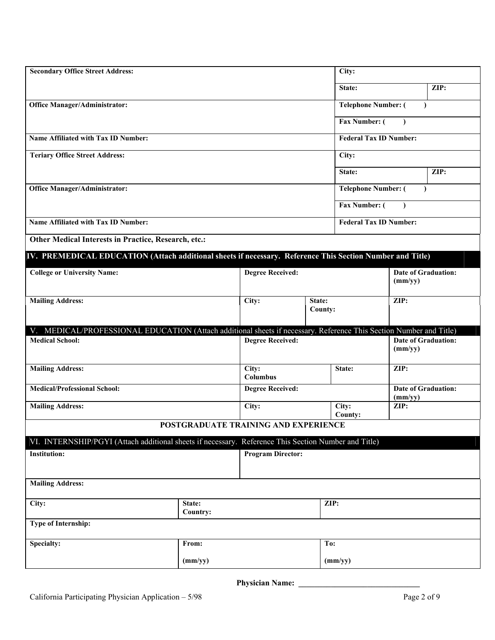| <b>Secondary Office Street Address:</b>                                                                                                      |         |                                      |                   | City:                         |                 |                            |  |
|----------------------------------------------------------------------------------------------------------------------------------------------|---------|--------------------------------------|-------------------|-------------------------------|-----------------|----------------------------|--|
|                                                                                                                                              |         |                                      |                   | State:                        |                 | ZIP:                       |  |
| <b>Office Manager/Administrator:</b>                                                                                                         |         |                                      |                   | <b>Telephone Number: (</b>    |                 | $\lambda$                  |  |
|                                                                                                                                              |         |                                      |                   | Fax Number: (                 |                 |                            |  |
| Name Affiliated with Tax ID Number:                                                                                                          |         |                                      |                   | <b>Federal Tax ID Number:</b> |                 |                            |  |
| <b>Teriary Office Street Address:</b>                                                                                                        |         |                                      |                   | City:                         |                 |                            |  |
|                                                                                                                                              |         |                                      |                   | State:                        |                 | ZIP:                       |  |
| <b>Office Manager/Administrator:</b>                                                                                                         |         |                                      |                   | <b>Telephone Number: (</b>    |                 |                            |  |
|                                                                                                                                              |         |                                      |                   | Fax Number: (                 | $\lambda$       |                            |  |
| Name Affiliated with Tax ID Number:                                                                                                          |         |                                      |                   | <b>Federal Tax ID Number:</b> |                 |                            |  |
| Other Medical Interests in Practice, Research, etc.:                                                                                         |         |                                      |                   |                               |                 |                            |  |
| IV. PREMEDICAL EDUCATION (Attach additional sheets if necessary. Reference This Section Number and Title)                                    |         |                                      |                   |                               |                 |                            |  |
| <b>College or University Name:</b>                                                                                                           |         | <b>Degree Received:</b>              |                   |                               |                 | <b>Date of Graduation:</b> |  |
|                                                                                                                                              |         |                                      |                   |                               | (mm/yy)         |                            |  |
| <b>Mailing Address:</b>                                                                                                                      |         | City:                                | State:<br>County: |                               | ZIP:            |                            |  |
|                                                                                                                                              |         |                                      |                   |                               |                 |                            |  |
| V. MEDICAL/PROFESSIONAL EDUCATION (Attach additional sheets if necessary. Reference This Section Number and Title)<br><b>Medical School:</b> |         | <b>Degree Received:</b>              |                   |                               |                 | <b>Date of Graduation:</b> |  |
|                                                                                                                                              |         |                                      |                   |                               | (mm/yy)         |                            |  |
| <b>Mailing Address:</b>                                                                                                                      |         | City:<br><b>Columbus</b>             |                   | State:                        | ZIP:            |                            |  |
| <b>Medical/Professional School:</b>                                                                                                          |         | <b>Degree Received:</b>              |                   |                               |                 | <b>Date of Graduation:</b> |  |
| <b>Mailing Address:</b>                                                                                                                      |         | City:                                |                   | City:                         | (mm/yy)<br>ZIP: |                            |  |
|                                                                                                                                              |         | POSTGRADUATE TRAINING AND EXPERIENCE |                   | <b>County:</b>                |                 |                            |  |
| VI. INTERNSHIP/PGYI (Attach additional sheets if necessary. Reference This Section Number and Title)                                         |         |                                      |                   |                               |                 |                            |  |
| <b>Institution:</b>                                                                                                                          |         | <b>Program Director:</b>             |                   |                               |                 |                            |  |
|                                                                                                                                              |         |                                      |                   |                               |                 |                            |  |
| <b>Mailing Address:</b>                                                                                                                      |         |                                      |                   |                               |                 |                            |  |
| City:<br>State:<br>Country:                                                                                                                  |         |                                      |                   | ZIP:                          |                 |                            |  |
| <b>Type of Internship:</b>                                                                                                                   |         |                                      |                   |                               |                 |                            |  |
| Specialty:                                                                                                                                   | From:   |                                      | To:               |                               |                 |                            |  |
|                                                                                                                                              | (mm/yy) |                                      |                   | (mm/yy)                       |                 |                            |  |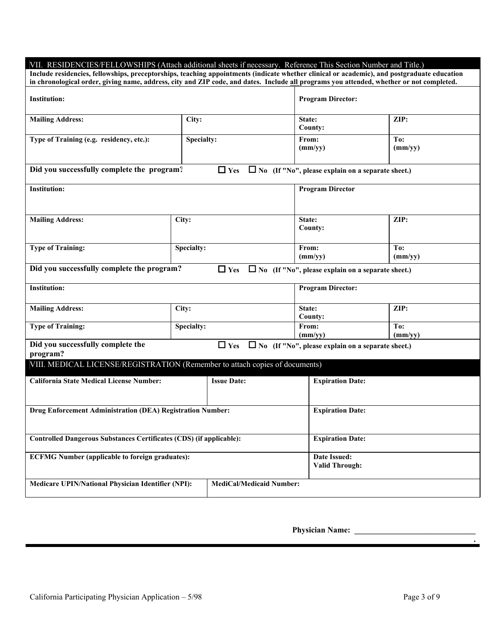| VII. RESIDENCIES/FELLOWSHIPS (Attach additional sheets if necessary. Reference This Section Number and Title.)                                                                                                                                                                          |                         |                                 |                          |                                                          |
|-----------------------------------------------------------------------------------------------------------------------------------------------------------------------------------------------------------------------------------------------------------------------------------------|-------------------------|---------------------------------|--------------------------|----------------------------------------------------------|
| Include residencies, fellowships, preceptorships, teaching appointments (indicate whether clinical or academic), and postgraduate education<br>in chronological order, giving name, address, city and ZIP code, and dates. Include all programs you attended, whether or not completed. |                         |                                 |                          |                                                          |
|                                                                                                                                                                                                                                                                                         |                         |                                 |                          |                                                          |
| <b>Institution:</b>                                                                                                                                                                                                                                                                     |                         |                                 | <b>Program Director:</b> |                                                          |
|                                                                                                                                                                                                                                                                                         |                         |                                 |                          |                                                          |
| <b>Mailing Address:</b>                                                                                                                                                                                                                                                                 | City:                   |                                 | State:                   | ZIP:                                                     |
|                                                                                                                                                                                                                                                                                         |                         |                                 | County:                  |                                                          |
| Type of Training (e.g. residency, etc.):                                                                                                                                                                                                                                                | Specialty:              |                                 | From:<br>(mm/yy)         | To:<br>(mm/yy)                                           |
|                                                                                                                                                                                                                                                                                         |                         |                                 |                          |                                                          |
| Did you successfully complete the program?                                                                                                                                                                                                                                              |                         | $\Box$ Yes                      |                          | $\Box$ No (If "No", please explain on a separate sheet.) |
| <b>Institution:</b>                                                                                                                                                                                                                                                                     |                         |                                 | <b>Program Director</b>  |                                                          |
|                                                                                                                                                                                                                                                                                         |                         |                                 |                          |                                                          |
|                                                                                                                                                                                                                                                                                         |                         |                                 |                          |                                                          |
| <b>Mailing Address:</b>                                                                                                                                                                                                                                                                 | City:                   |                                 | State:                   | ZIP:                                                     |
|                                                                                                                                                                                                                                                                                         |                         |                                 | County:                  |                                                          |
|                                                                                                                                                                                                                                                                                         |                         |                                 |                          |                                                          |
| <b>Type of Training:</b>                                                                                                                                                                                                                                                                | Specialty:              |                                 | From:<br>(mm/vy)         | To:<br>(mm/yy)                                           |
|                                                                                                                                                                                                                                                                                         |                         |                                 |                          |                                                          |
| Did you successfully complete the program?                                                                                                                                                                                                                                              |                         | $\Box$ Yes                      |                          | $\Box$ No (If "No", please explain on a separate sheet.) |
| <b>Institution:</b>                                                                                                                                                                                                                                                                     |                         |                                 | <b>Program Director:</b> |                                                          |
| <b>Mailing Address:</b>                                                                                                                                                                                                                                                                 | City:                   |                                 | State:                   | ZIP:                                                     |
|                                                                                                                                                                                                                                                                                         |                         |                                 | County:                  |                                                          |
| <b>Type of Training:</b>                                                                                                                                                                                                                                                                | Specialty:              |                                 | From:                    | To:                                                      |
|                                                                                                                                                                                                                                                                                         |                         |                                 | (mm/vy)                  | (mm/vy)                                                  |
| Did you successfully complete the<br>program?                                                                                                                                                                                                                                           |                         | $\Box$ Yes                      |                          | $\Box$ No (If "No", please explain on a separate sheet.) |
| VIII. MEDICAL LICENSE/REGISTRATION (Remember to attach copies of documents)                                                                                                                                                                                                             |                         |                                 |                          |                                                          |
|                                                                                                                                                                                                                                                                                         |                         |                                 |                          |                                                          |
| <b>California State Medical License Number:</b>                                                                                                                                                                                                                                         |                         | <b>Issue Date:</b>              | <b>Expiration Date:</b>  |                                                          |
|                                                                                                                                                                                                                                                                                         |                         |                                 |                          |                                                          |
|                                                                                                                                                                                                                                                                                         |                         |                                 |                          |                                                          |
| Drug Enforcement Administration (DEA) Registration Number:                                                                                                                                                                                                                              |                         |                                 | <b>Expiration Date:</b>  |                                                          |
|                                                                                                                                                                                                                                                                                         |                         |                                 |                          |                                                          |
| Controlled Dangerous Substances Certificates (CDS) (if applicable):                                                                                                                                                                                                                     | <b>Expiration Date:</b> |                                 |                          |                                                          |
|                                                                                                                                                                                                                                                                                         |                         |                                 |                          |                                                          |
| <b>ECFMG Number (applicable to foreign graduates):</b>                                                                                                                                                                                                                                  |                         |                                 | Date Issued:             |                                                          |
|                                                                                                                                                                                                                                                                                         |                         |                                 | <b>Valid Through:</b>    |                                                          |
| Medicare UPIN/National Physician Identifier (NPI):                                                                                                                                                                                                                                      |                         | <b>MediCal/Medicaid Number:</b> |                          |                                                          |
|                                                                                                                                                                                                                                                                                         |                         |                                 |                          |                                                          |

**.**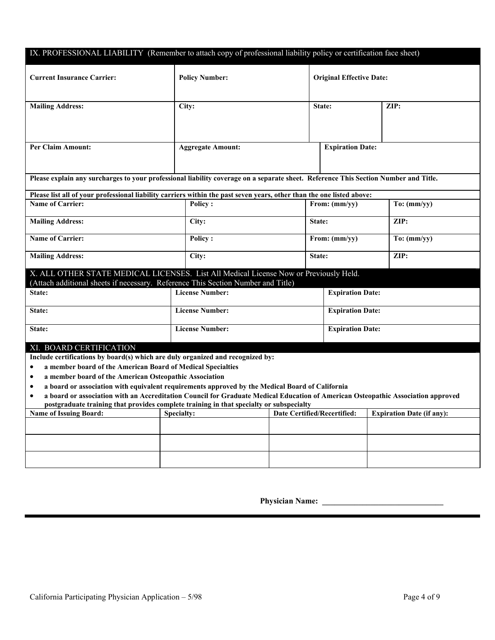| IX. PROFESSIONAL LIABILITY (Remember to attach copy of professional liability policy or certification face sheet)                                                                                                                                                                                                                                       |                          |                                    |                                 |                                  |  |
|---------------------------------------------------------------------------------------------------------------------------------------------------------------------------------------------------------------------------------------------------------------------------------------------------------------------------------------------------------|--------------------------|------------------------------------|---------------------------------|----------------------------------|--|
| <b>Current Insurance Carrier:</b>                                                                                                                                                                                                                                                                                                                       | <b>Policy Number:</b>    |                                    | <b>Original Effective Date:</b> |                                  |  |
| <b>Mailing Address:</b>                                                                                                                                                                                                                                                                                                                                 | City:                    |                                    | State:                          | ZIP:                             |  |
| <b>Per Claim Amount:</b>                                                                                                                                                                                                                                                                                                                                | <b>Aggregate Amount:</b> |                                    | <b>Expiration Date:</b>         |                                  |  |
| Please explain any surcharges to your professional liability coverage on a separate sheet. Reference This Section Number and Title.                                                                                                                                                                                                                     |                          |                                    |                                 |                                  |  |
| Please list all of your professional liability carriers within the past seven years, other than the one listed above:                                                                                                                                                                                                                                   |                          |                                    |                                 |                                  |  |
| <b>Name of Carrier:</b>                                                                                                                                                                                                                                                                                                                                 | <b>Policy:</b>           |                                    | From: (mm/yy)                   | To: (mm/yy)                      |  |
| <b>Mailing Address:</b>                                                                                                                                                                                                                                                                                                                                 | City:                    | State:                             |                                 | ZIP:                             |  |
| <b>Name of Carrier:</b>                                                                                                                                                                                                                                                                                                                                 | <b>Policy:</b>           |                                    | From: (mm/yy)                   | To: (mm/yy)                      |  |
| <b>Mailing Address:</b>                                                                                                                                                                                                                                                                                                                                 | City:                    | State:                             |                                 | ZIP:                             |  |
| X. ALL OTHER STATE MEDICAL LICENSES. List All Medical License Now or Previously Held.                                                                                                                                                                                                                                                                   |                          |                                    |                                 |                                  |  |
| State:                                                                                                                                                                                                                                                                                                                                                  | <b>License Number:</b>   |                                    | <b>Expiration Date:</b>         |                                  |  |
| State:                                                                                                                                                                                                                                                                                                                                                  | <b>License Number:</b>   |                                    | <b>Expiration Date:</b>         |                                  |  |
| State:                                                                                                                                                                                                                                                                                                                                                  | <b>License Number:</b>   |                                    | <b>Expiration Date:</b>         |                                  |  |
|                                                                                                                                                                                                                                                                                                                                                         |                          |                                    |                                 |                                  |  |
|                                                                                                                                                                                                                                                                                                                                                         |                          |                                    |                                 |                                  |  |
| ٠                                                                                                                                                                                                                                                                                                                                                       |                          |                                    |                                 |                                  |  |
| ٠                                                                                                                                                                                                                                                                                                                                                       |                          |                                    |                                 |                                  |  |
| a board or association with equivalent requirements approved by the Medical Board of California<br>٠                                                                                                                                                                                                                                                    |                          |                                    |                                 |                                  |  |
| a board or association with an Accreditation Council for Graduate Medical Education of American Osteopathic Association approved<br>$\bullet$                                                                                                                                                                                                           |                          |                                    |                                 |                                  |  |
| postgraduate training that provides complete training in that specialty or subspecialty                                                                                                                                                                                                                                                                 |                          |                                    |                                 |                                  |  |
|                                                                                                                                                                                                                                                                                                                                                         |                          |                                    |                                 |                                  |  |
|                                                                                                                                                                                                                                                                                                                                                         |                          |                                    |                                 |                                  |  |
|                                                                                                                                                                                                                                                                                                                                                         |                          |                                    |                                 |                                  |  |
|                                                                                                                                                                                                                                                                                                                                                         |                          |                                    |                                 |                                  |  |
|                                                                                                                                                                                                                                                                                                                                                         |                          |                                    |                                 |                                  |  |
| (Attach additional sheets if necessary. Reference This Section Number and Title)<br>XI. BOARD CERTIFICATION<br>Include certifications by board(s) which are duly organized and recognized by:<br>a member board of the American Board of Medical Specialties<br>a member board of the American Osteopathic Association<br><b>Name of Issuing Board:</b> | <b>Specialty:</b>        | <b>Date Certified/Recertified:</b> |                                 | <b>Expiration Date (if any):</b> |  |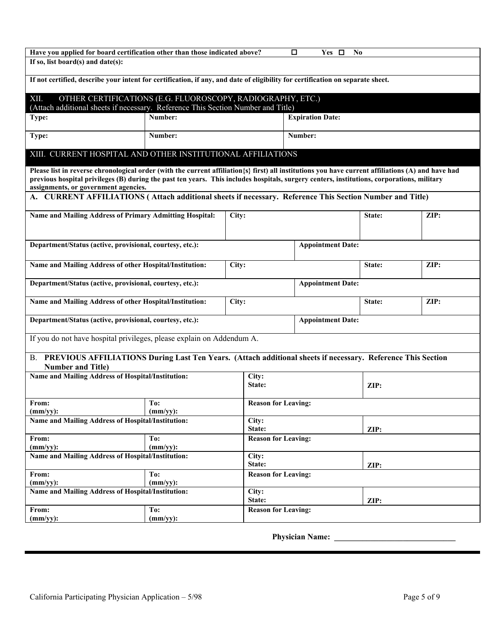| Have you applied for board certification other than those indicated above?                                                                             |                    |                            | П<br>Yes $\Box$          | N <sub>0</sub> |      |
|--------------------------------------------------------------------------------------------------------------------------------------------------------|--------------------|----------------------------|--------------------------|----------------|------|
| If so, list board(s) and date(s):                                                                                                                      |                    |                            |                          |                |      |
| If not certified, describe your intent for certification, if any, and date of eligibility for certification on separate sheet.                         |                    |                            |                          |                |      |
| XII.<br>OTHER CERTIFICATIONS (E.G. FLUOROSCOPY, RADIOGRAPHY, ETC.)<br>(Attach additional sheets if necessary. Reference This Section Number and Title) |                    |                            |                          |                |      |
| Type:                                                                                                                                                  | Number:            |                            | <b>Expiration Date:</b>  |                |      |
| Type:                                                                                                                                                  | Number:            |                            | Number:                  |                |      |
| XIII. CURRENT HOSPITAL AND OTHER INSTITUTIONAL AFFILIATIONS                                                                                            |                    |                            |                          |                |      |
| Please list in reverse chronological order (with the current affiliation {s} first) all institutions you have current affiliations (A) and have had    |                    |                            |                          |                |      |
| previous hospital privileges (B) during the past ten years. This includes hospitals, surgery centers, institutions, corporations, military             |                    |                            |                          |                |      |
| assignments, or government agencies.                                                                                                                   |                    |                            |                          |                |      |
| A. CURRENT AFFILIATIONS (Attach additional sheets if necessary. Reference This Section Number and Title)                                               |                    |                            |                          |                |      |
| Name and Mailing Address of Primary Admitting Hospital:                                                                                                |                    | City:                      |                          | State:         | ZIP: |
|                                                                                                                                                        |                    |                            |                          |                |      |
|                                                                                                                                                        |                    |                            |                          |                |      |
| Department/Status (active, provisional, courtesy, etc.):                                                                                               |                    |                            | <b>Appointment Date:</b> |                |      |
|                                                                                                                                                        |                    |                            |                          |                |      |
| Name and Mailing Address of other Hospital/Institution:                                                                                                |                    | City:                      |                          | State:         | ZIP: |
|                                                                                                                                                        |                    |                            |                          |                |      |
| Department/Status (active, provisional, courtesy, etc.):                                                                                               |                    |                            | <b>Appointment Date:</b> |                |      |
| Name and Mailing Address of other Hospital/Institution:                                                                                                |                    | City:                      |                          | State:         | ZIP: |
|                                                                                                                                                        |                    |                            |                          |                |      |
| Department/Status (active, provisional, courtesy, etc.):                                                                                               |                    |                            | <b>Appointment Date:</b> |                |      |
| If you do not have hospital privileges, please explain on Addendum A.                                                                                  |                    |                            |                          |                |      |
| B. PREVIOUS AFFILIATIONS During Last Ten Years. (Attach additional sheets if necessary. Reference This Section                                         |                    |                            |                          |                |      |
| <b>Number and Title)</b>                                                                                                                               |                    |                            |                          |                |      |
| Name and Mailing Address of Hospital/Institution:                                                                                                      |                    | City:                      |                          |                |      |
|                                                                                                                                                        |                    | State:                     |                          | ZIP:           |      |
|                                                                                                                                                        |                    |                            |                          |                |      |
| From:<br>$(mm/yy)$ :                                                                                                                                   | To:<br>$(mm/yy)$ : | <b>Reason for Leaving:</b> |                          |                |      |
| Name and Mailing Address of Hospital/Institution:                                                                                                      |                    | City:                      |                          |                |      |
|                                                                                                                                                        |                    | State:                     | ZIP:                     |                |      |
| From:                                                                                                                                                  | To:                | <b>Reason for Leaving:</b> |                          |                |      |
| $(mm/yy)$ :                                                                                                                                            | $(mm/yy)$ :        |                            |                          |                |      |
| Name and Mailing Address of Hospital/Institution:                                                                                                      |                    | City:<br>State:            |                          | ZIP:           |      |
| From:                                                                                                                                                  | To:                | <b>Reason for Leaving:</b> |                          |                |      |
| $(mm/yy)$ :                                                                                                                                            | $(mm/yy)$ :        |                            |                          |                |      |
| Name and Mailing Address of Hospital/Institution:                                                                                                      |                    | City:                      |                          |                |      |
|                                                                                                                                                        |                    | State:                     |                          | ZIP:           |      |
| From:                                                                                                                                                  | To:                | <b>Reason for Leaving:</b> |                          |                |      |
| $(mm/yy)$ :                                                                                                                                            | $(mm/yy)$ :        |                            |                          |                |      |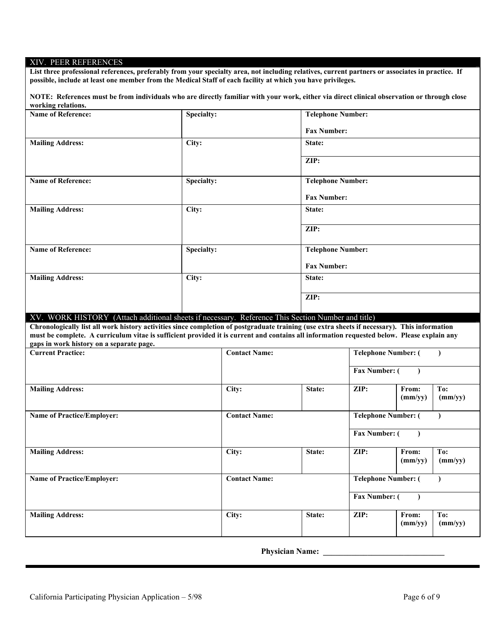### XIV. PEER REFERENCES

**List three professional references, preferably from your specialty area, not including relatives, current partners or associates in practice. If possible, include at least one member from the Medical Staff of each facility at which you have privileges.**

**NOTE: References must be from individuals who are directly familiar with your work, either via direct clinical observation or through close working relations.**

| Name of Reference:                                                                                                                                                                                                                                                                                                                     | <b>Specialty:</b> |                      | <b>Telephone Number:</b> |                            |                  |                |  |
|----------------------------------------------------------------------------------------------------------------------------------------------------------------------------------------------------------------------------------------------------------------------------------------------------------------------------------------|-------------------|----------------------|--------------------------|----------------------------|------------------|----------------|--|
|                                                                                                                                                                                                                                                                                                                                        |                   |                      | <b>Fax Number:</b>       |                            |                  |                |  |
| <b>Mailing Address:</b>                                                                                                                                                                                                                                                                                                                | City:             |                      | State:                   |                            |                  |                |  |
|                                                                                                                                                                                                                                                                                                                                        |                   |                      | ZIP:                     |                            |                  |                |  |
|                                                                                                                                                                                                                                                                                                                                        |                   |                      |                          |                            |                  |                |  |
| <b>Name of Reference:</b>                                                                                                                                                                                                                                                                                                              | <b>Specialty:</b> |                      | <b>Telephone Number:</b> |                            |                  |                |  |
|                                                                                                                                                                                                                                                                                                                                        |                   |                      | <b>Fax Number:</b>       |                            |                  |                |  |
| <b>Mailing Address:</b>                                                                                                                                                                                                                                                                                                                | City:             |                      | State:                   |                            |                  |                |  |
|                                                                                                                                                                                                                                                                                                                                        |                   |                      | ZIP:                     |                            |                  |                |  |
| <b>Name of Reference:</b>                                                                                                                                                                                                                                                                                                              | <b>Specialty:</b> |                      | <b>Telephone Number:</b> |                            |                  |                |  |
|                                                                                                                                                                                                                                                                                                                                        |                   |                      | <b>Fax Number:</b>       |                            |                  |                |  |
| <b>Mailing Address:</b>                                                                                                                                                                                                                                                                                                                | City:             |                      | State:                   |                            |                  |                |  |
|                                                                                                                                                                                                                                                                                                                                        |                   |                      | ZIP:                     |                            |                  |                |  |
| XV. WORK HISTORY (Attach additional sheets if necessary. Reference This Section Number and title)                                                                                                                                                                                                                                      |                   |                      |                          |                            |                  |                |  |
| Chronologically list all work history activities since completion of postgraduate training (use extra sheets if necessary). This information<br>must be complete. A curriculum vitae is sufficient provided it is current and contains all information requested below. Please explain any<br>gaps in work history on a separate page. |                   |                      |                          |                            |                  |                |  |
| <b>Current Practice:</b>                                                                                                                                                                                                                                                                                                               |                   | <b>Contact Name:</b> |                          | <b>Telephone Number: (</b> |                  | $\lambda$      |  |
|                                                                                                                                                                                                                                                                                                                                        |                   |                      |                          | Fax Number: (              |                  |                |  |
|                                                                                                                                                                                                                                                                                                                                        |                   |                      |                          |                            |                  |                |  |
| <b>Mailing Address:</b>                                                                                                                                                                                                                                                                                                                |                   | $\overline{C}$ ity:  | State:                   | ZIP:                       | From:<br>(mm/yy) | To:<br>(mm/yy) |  |
| <b>Name of Practice/Employer:</b>                                                                                                                                                                                                                                                                                                      |                   | <b>Contact Name:</b> |                          | <b>Telephone Number: (</b> |                  |                |  |
|                                                                                                                                                                                                                                                                                                                                        |                   |                      |                          | <b>Fax Number: (</b>       |                  |                |  |
| <b>Mailing Address:</b>                                                                                                                                                                                                                                                                                                                |                   | City:                | State:                   | ZIP:                       | From:<br>(mm/yy) | To:<br>(mm/yy) |  |
| <b>Name of Practice/Employer:</b>                                                                                                                                                                                                                                                                                                      |                   | <b>Contact Name:</b> |                          | <b>Telephone Number: (</b> |                  |                |  |
|                                                                                                                                                                                                                                                                                                                                        |                   |                      |                          |                            |                  |                |  |
|                                                                                                                                                                                                                                                                                                                                        |                   |                      |                          | Fax Number: (              |                  |                |  |
| <b>Mailing Address:</b>                                                                                                                                                                                                                                                                                                                |                   | City:                | State:                   | ZIP:                       | From:            | To:            |  |
|                                                                                                                                                                                                                                                                                                                                        |                   |                      |                          |                            | (mm/yy)          | (mm/yy)        |  |

**Physician Name:**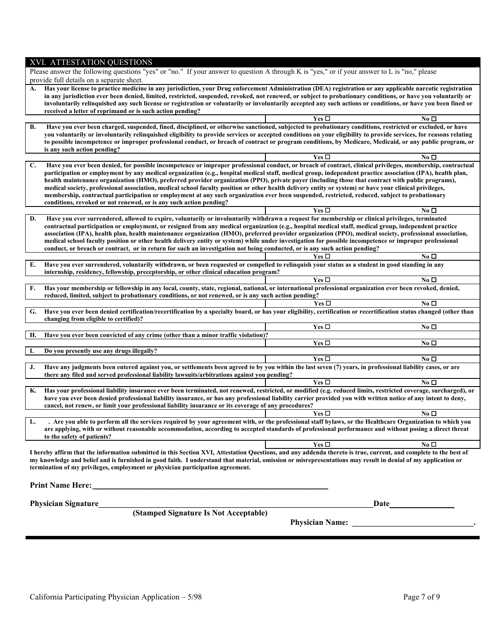| XVI. ATTESTATION QUESTIONS                                                                                                                                                                                                                                                                                                                                                                                                                                                                                                                                                                                                                                                                                                                                           |                        |                 |  |  |  |  |
|----------------------------------------------------------------------------------------------------------------------------------------------------------------------------------------------------------------------------------------------------------------------------------------------------------------------------------------------------------------------------------------------------------------------------------------------------------------------------------------------------------------------------------------------------------------------------------------------------------------------------------------------------------------------------------------------------------------------------------------------------------------------|------------------------|-----------------|--|--|--|--|
| Please answer the following questions "yes" or "no." If your answer to question A through K is "yes," or if your answer to L is "no," please                                                                                                                                                                                                                                                                                                                                                                                                                                                                                                                                                                                                                         |                        |                 |  |  |  |  |
| provide full details on a separate sheet.                                                                                                                                                                                                                                                                                                                                                                                                                                                                                                                                                                                                                                                                                                                            |                        |                 |  |  |  |  |
| Has your license to practice medicine in any jurisdiction, your Drug enforcement Administration (DEA) registration or any applicable narcotic registration<br>А.<br>in any jurisdiction ever been denied, limited, restricted, suspended, revoked, not renewed, or subject to probationary conditions, or have you voluntarily or<br>involuntarily relinquished any such license or registration or voluntarily or involuntarily accepted any such actions or conditions, or have you been fined or<br>received a letter of reprimand or is such action pending?                                                                                                                                                                                                     |                        |                 |  |  |  |  |
|                                                                                                                                                                                                                                                                                                                                                                                                                                                                                                                                                                                                                                                                                                                                                                      | Yes □                  | No □            |  |  |  |  |
| Have you ever been charged, suspended, fined, disciplined, or otherwise sanctioned, subjected to probationary conditions, restricted or excluded, or have<br>В.<br>you voluntarily or involuntarily relinquished eligibility to provide services or accepted conditions on your eligibility to provide services, for reasons relating<br>to possible incompetence or improper professional conduct, or breach of contract or program conditions, by Medicare, Medicaid, or any public program, or<br>is any such action pending?                                                                                                                                                                                                                                     |                        | No □            |  |  |  |  |
| Have you ever been denied, for possible incompetence or improper professional conduct, or breach of contract, clinical privileges, membership, contractual<br>C.                                                                                                                                                                                                                                                                                                                                                                                                                                                                                                                                                                                                     | Yes □                  |                 |  |  |  |  |
| participation or employment by any medical organization (e.g., hospital medical staff, medical group, independent practice association (IPA), health plan,<br>health maintenance organization (HMO), preferred provider organization (PPO), private payer (including those that contract with public programs),<br>medical society, professional association, medical school faculty position or other health delivery entity or system) or have your clinical privileges,<br>membership, contractual participation or employment at any such organization ever been suspended, restricted, reduced, subject to probationary<br>conditions, revoked or not renewed, or is any such action pending?                                                                   |                        |                 |  |  |  |  |
|                                                                                                                                                                                                                                                                                                                                                                                                                                                                                                                                                                                                                                                                                                                                                                      | Yes $\square$          | No <sub>D</sub> |  |  |  |  |
| Have you ever surrendered, allowed to expire, voluntarily or involuntarily withdrawn a request for membership or clinical privileges, terminated<br>D.<br>contractual participation or employment, or resigned from any medical organization (e.g., hospital medical staff, medical group, independent practice<br>association (IPA), health plan, health maintenance organization (HMO), preferred provider organization (PPO), medical society, professional association,<br>medical school faculty position or other health delivery entity or system) while under investigation for possible incompetence or improper professional<br>conduct, or breach or contract, or in return for such an investigation not being conducted, or is any such action pending? |                        |                 |  |  |  |  |
|                                                                                                                                                                                                                                                                                                                                                                                                                                                                                                                                                                                                                                                                                                                                                                      | Yes $\Box$             | No $\square$    |  |  |  |  |
| E.<br>Have you ever surrendered, voluntarily withdrawn, or been requested or compelled to relinquish your status as a student in good standing in any<br>internship, residency, fellowship, preceptorship, or other clinical education program?                                                                                                                                                                                                                                                                                                                                                                                                                                                                                                                      |                        |                 |  |  |  |  |
|                                                                                                                                                                                                                                                                                                                                                                                                                                                                                                                                                                                                                                                                                                                                                                      | Yes $\square$          | No <sub>D</sub> |  |  |  |  |
| Has your membership or fellowship in any local, county, state, regional, national, or international professional organization ever been revoked, denied,<br>F.<br>reduced, limited, subject to probationary conditions, or not renewed, or is any such action pending?                                                                                                                                                                                                                                                                                                                                                                                                                                                                                               |                        |                 |  |  |  |  |
|                                                                                                                                                                                                                                                                                                                                                                                                                                                                                                                                                                                                                                                                                                                                                                      | Yes $\Box$             | No <sub>D</sub> |  |  |  |  |
| Have you ever been denied certification/recertification by a specialty board, or has your eligibility, certification or recertification status changed (other than<br>G.<br>changing from eligible to certified)?                                                                                                                                                                                                                                                                                                                                                                                                                                                                                                                                                    |                        |                 |  |  |  |  |
|                                                                                                                                                                                                                                                                                                                                                                                                                                                                                                                                                                                                                                                                                                                                                                      | Yes $\square$          | No <sub>D</sub> |  |  |  |  |
| Н.<br>Have you ever been convicted of any crime (other than a minor traffic violation)?                                                                                                                                                                                                                                                                                                                                                                                                                                                                                                                                                                                                                                                                              | Yes $\square$          | No <sub>D</sub> |  |  |  |  |
| Ι.<br>Do you presently use any drugs illegally?                                                                                                                                                                                                                                                                                                                                                                                                                                                                                                                                                                                                                                                                                                                      |                        |                 |  |  |  |  |
|                                                                                                                                                                                                                                                                                                                                                                                                                                                                                                                                                                                                                                                                                                                                                                      | Yes $\Box$             | No $\Box$       |  |  |  |  |
| Have any judgments been entered against you, or settlements been agreed to by you within the last seven (7) years, in professional liability cases, or are<br>J.<br>there any filed and served professional liability lawsuits/arbitrations against you pending?                                                                                                                                                                                                                                                                                                                                                                                                                                                                                                     |                        |                 |  |  |  |  |
|                                                                                                                                                                                                                                                                                                                                                                                                                                                                                                                                                                                                                                                                                                                                                                      | Yes $\square$          | No <sub>D</sub> |  |  |  |  |
| Has your professional liability insurance ever been terminated, not renewed, restricted, or modified (e.g. reduced limits, restricted coverage, surcharged), or<br>К.<br>have you ever been denied professional liability insurance, or has any professional liability carrier provided you with written notice of any intent to deny,<br>cancel, not renew, or limit your professional liability insurance or its coverage of any procedures?                                                                                                                                                                                                                                                                                                                       |                        |                 |  |  |  |  |
|                                                                                                                                                                                                                                                                                                                                                                                                                                                                                                                                                                                                                                                                                                                                                                      | Yes $\square$          | No $\Box$       |  |  |  |  |
| . Are you able to perform all the services required by your agreement with, or the professional staff bylaws, or the Healthcare Organization to which you<br>L.<br>are applying, with or without reasonable accommodation, according to accepted standards of professional performance and without posing a direct threat<br>to the safety of patients?                                                                                                                                                                                                                                                                                                                                                                                                              |                        |                 |  |  |  |  |
|                                                                                                                                                                                                                                                                                                                                                                                                                                                                                                                                                                                                                                                                                                                                                                      | Yes $\Box$             | No □            |  |  |  |  |
| I hereby affirm that the information submitted in this Section XVI, Attestation Questions, and any addenda thereto is true, current, and complete to the best of<br>my knowledge and belief and is furnished in good faith. I understand that material, omission or misrepresentations may result in denial of my application or<br>termination of my privileges, employment or physician participation agreement.                                                                                                                                                                                                                                                                                                                                                   |                        |                 |  |  |  |  |
|                                                                                                                                                                                                                                                                                                                                                                                                                                                                                                                                                                                                                                                                                                                                                                      | Date_                  |                 |  |  |  |  |
| Physician Signature<br>(Stamped Signature Is Not Acceptable)                                                                                                                                                                                                                                                                                                                                                                                                                                                                                                                                                                                                                                                                                                         |                        |                 |  |  |  |  |
|                                                                                                                                                                                                                                                                                                                                                                                                                                                                                                                                                                                                                                                                                                                                                                      | <b>Physician Name:</b> |                 |  |  |  |  |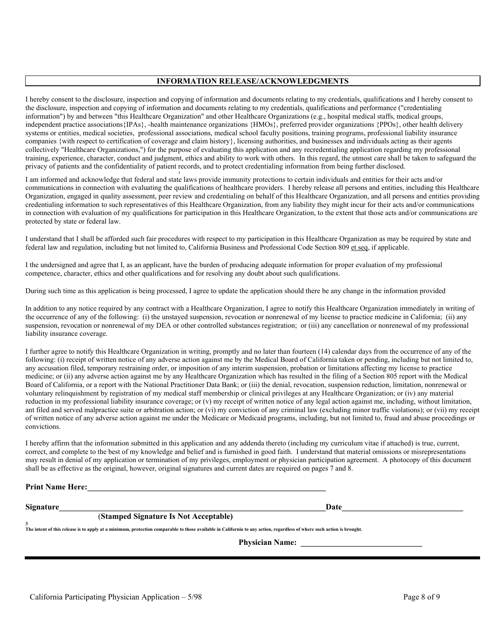#### **INFORMATION RELEASE/ACKNOWLEDGMENTS**

I hereby consent to the disclosure, inspection and copying of information and documents relating to my credentials, qualifications and I hereby consent to the disclosure, inspection and copying of information and documents relating to my credentials, qualifications and performance ("credentialing information") by and between "this Healthcare Organization" and other Healthcare Organizations (e.g., hospital medical staffs, medical groups, independent practice associations{IPAs}, -health maintenance organizations {HMOs}, preferred provider organizations {PPOs}, other health delivery systems or entities, medical societies, professional associations, medical school faculty positions, training programs, professional liability insurance companies {with respect to certification of coverage and claim history}, licensing authorities, and businesses and individuals acting as their agents collectively "Healthcare Organizations,") for the purpose of evaluating this application and any recredentialing application regarding my professional training, experience, character, conduct and judgment, ethics and ability to work with others. In this regard, the utmost care shall be taken to safeguard the privacy of patients and the confidentiality of patient records, and to protect credentialing information from being further disclosed. 3

I am informed and acknowledge that federal and state laws provide immunity protections to certain individuals and entities for their acts and/or communications in connection with evaluating the qualifications of healthcare providers. I hereby release all persons and entities, including this Healthcare Organization, engaged in quality assessment, peer review and credentialing on behalf of this Healthcare Organization, and all persons and entities providing credentialing information to such representatives of this Healthcare Organization, from any liability they might incur for their acts and/or communications in connection with evaluation of my qualifications for participation in this Healthcare Organization, to the extent that those acts and/or communications are protected by state or federal law.

I understand that I shall be afforded such fair procedures with respect to my participation in this Healthcare Organization as may be required by state and federal law and regulation, including but not limited to, California Business and Professional Code Section 809 et seq, if applicable.

I the undersigned and agree that I, as an applicant, have the burden of producing adequate information for proper evaluation of my professional competence, character, ethics and other qualifications and for resolving any doubt about such qualifications.

During such time as this application is being processed, I agree to update the application should there be any change in the information provided

In addition to any notice required by any contract with a Healthcare Organization, I agree to notify this Healthcare Organization immediately in writing of the occurrence of any of the following: (i) the unstayed suspension, revocation or nonrenewal of my license to practice medicine in California; (ii) any suspension, revocation or nonrenewal of my DEA or other controlled substances registration; or (iii) any cancellation or nonrenewal of my professional liability insurance coverage.

I further agree to notify this Healthcare Organization in writing, promptly and no later than fourteen (14) calendar days from the occurrence of any of the following: (i) receipt of written notice of any adverse action against me by the Medical Board of California taken or pending, including but not limited to, any accusation filed, temporary restraining order, or imposition of any interim suspension, probation or limitations affecting my license to practice medicine; or (ii) any adverse action against me by any Healthcare Organization which has resulted in the filing of a Section 805 report with the Medical Board of California, or a report with the National Practitioner Data Bank; or (iii) the denial, revocation, suspension reduction, limitation, nonrenewal or voluntary relinquishment by registration of my medical staff membership or clinical privileges at any Healthcare Organization; or (iv) any material reduction in my professional liability insurance coverage; or (v) my receipt of written notice of any legal action against me, including, without limitation, ant filed and served malpractice suite or arbitration action; or (vi) my conviction of any criminal law (excluding minor traffic violations); or (vii) my receipt of written notice of any adverse action against me under the Medicare or Medicaid programs, including, but not limited to, fraud and abuse proceedings or convictions.

I hereby affirm that the information submitted in this application and any addenda thereto (including my curriculum vitae if attached) is true, current, correct, and complete to the best of my knowledge and belief and is furnished in good faith. I understand that material omissions or misrepresentations may result in denial of my application or termination of my privileges, employment or physician participation agreement. A photocopy of this document shall be as effective as the original, however, original signatures and current dates are required on pages 7 and 8.

### **Print Name Here:\_\_\_\_\_\_\_\_\_\_\_\_\_\_\_\_\_\_\_\_\_\_\_\_\_\_\_\_\_\_\_\_\_\_\_\_\_\_\_\_\_\_\_\_\_\_\_\_\_\_\_\_\_\_\_\_\_\_\_**

 $\bf{Signature}$ 

#### (**Stamped Signature Is Not Acceptable)**

**3 The intent of this release is to apply at a minimum, protection comparable to those available in California to any action, regardless of where such action is brought.**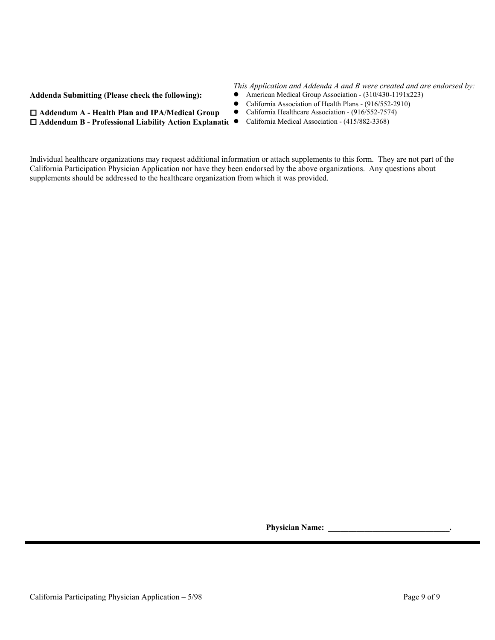**Addenda Submitting (Please check the following):**  $\bullet$ 

 $\Box$  Addendum A - Health Plan and IPA/Medical Group

# *This Application and Addenda A and B were created and are endorsed by:*

- 
- California Association of Health Plans (916/552-2910)<br>• California Healthcare Association (916/552-7574)
	-
- **□ Addendum B Professional Liability Action Explanatio •** California Medical Association (415/882-3368)

Individual healthcare organizations may request additional information or attach supplements to this form. They are not part of the California Participation Physician Application nor have they been endorsed by the above organizations. Any questions about supplements should be addressed to the healthcare organization from which it was provided.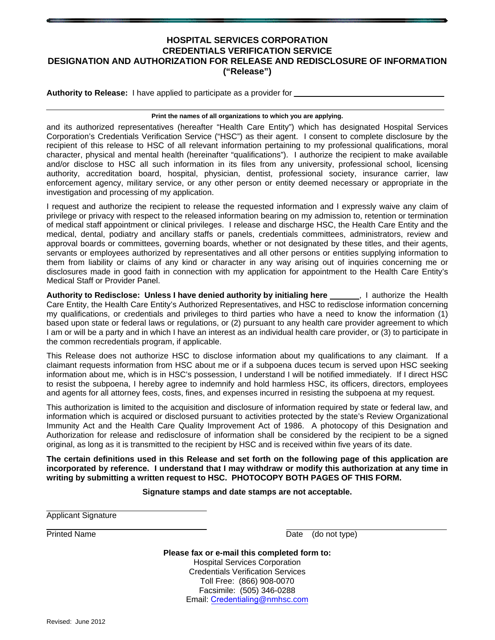## **HOSPITAL SERVICES CORPORATION CREDENTIALS VERIFICATION SERVICE DESIGNATION AND AUTHORIZATION FOR RELEASE AND REDISCLOSURE OF INFORMATION ("Release")**

**Authority to Release:** I have applied to participate as a provider for

#### **Print the names of all organizations to which you are applying.**

and its authorized representatives (hereafter "Health Care Entity") which has designated Hospital Services Corporation's Credentials Verification Service ("HSC") as their agent. I consent to complete disclosure by the recipient of this release to HSC of all relevant information pertaining to my professional qualifications, moral character, physical and mental health (hereinafter "qualifications"). I authorize the recipient to make available and/or disclose to HSC all such information in its files from any university, professional school, licensing authority, accreditation board, hospital, physician, dentist, professional society, insurance carrier, law enforcement agency, military service, or any other person or entity deemed necessary or appropriate in the investigation and processing of my application.

I request and authorize the recipient to release the requested information and I expressly waive any claim of privilege or privacy with respect to the released information bearing on my admission to, retention or termination of medical staff appointment or clinical privileges. I release and discharge HSC, the Health Care Entity and the medical, dental, podiatry and ancillary staffs or panels, credentials committees, administrators, review and approval boards or committees, governing boards, whether or not designated by these titles, and their agents, servants or employees authorized by representatives and all other persons or entities supplying information to them from liability or claims of any kind or character in any way arising out of inquiries concerning me or disclosures made in good faith in connection with my application for appointment to the Health Care Entity's Medical Staff or Provider Panel.

Authority to Redisclose: Unless I have denied authority by initialing here *lettional*, I authorize the Health Care Entity, the Health Care Entity's Authorized Representatives, and HSC to redisclose information concerning my qualifications, or credentials and privileges to third parties who have a need to know the information (1) based upon state or federal laws or regulations, or (2) pursuant to any health care provider agreement to which I am or will be a party and in which I have an interest as an individual health care provider, or (3) to participate in the common recredentials program, if applicable.

This Release does not authorize HSC to disclose information about my qualifications to any claimant. If a claimant requests information from HSC about me or if a subpoena duces tecum is served upon HSC seeking information about me, which is in HSC's possession, I understand I will be notified immediately. If I direct HSC to resist the subpoena, I hereby agree to indemnify and hold harmless HSC, its officers, directors, employees and agents for all attorney fees, costs, fines, and expenses incurred in resisting the subpoena at my request.

This authorization is limited to the acquisition and disclosure of information required by state or federal law, and information which is acquired or disclosed pursuant to activities protected by the state's Review Organizational Immunity Act and the Health Care Quality Improvement Act of 1986. A photocopy of this Designation and Authorization for release and redisclosure of information shall be considered by the recipient to be a signed original, as long as it is transmitted to the recipient by HSC and is received within five years of its date.

**The certain definitions used in this Release and set forth on the following page of this application are incorporated by reference. I understand that I may withdraw or modify this authorization at any time in writing by submitting a written request to HSC. PHOTOCOPY BOTH PAGES OF THIS FORM.**

#### **Signature stamps and date stamps are not acceptable.**

Applicant Signature

Printed Name Date (do not type)

**Please fax or e-mail this completed form to:**  Hospital Services Corporation Credentials Verification Services Toll Free: (866) 908-0070 Facsimile: (505) 346-0288 Email: Credentialing@nmhsc.com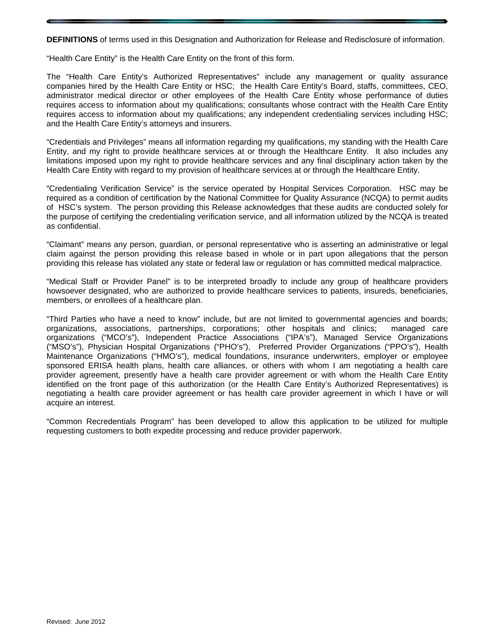**DEFINITIONS** of terms used in this Designation and Authorization for Release and Redisclosure of information.

"Health Care Entity" is the Health Care Entity on the front of this form.

The "Health Care Entity's Authorized Representatives" include any management or quality assurance companies hired by the Health Care Entity or HSC; the Health Care Entity's Board, staffs, committees, CEO, administrator medical director or other employees of the Health Care Entity whose performance of duties requires access to information about my qualifications; consultants whose contract with the Health Care Entity requires access to information about my qualifications; any independent credentialing services including HSC; and the Health Care Entity's attorneys and insurers.

"Credentials and Privileges" means all information regarding my qualifications, my standing with the Health Care Entity, and my right to provide healthcare services at or through the Healthcare Entity. It also includes any limitations imposed upon my right to provide healthcare services and any final disciplinary action taken by the Health Care Entity with regard to my provision of healthcare services at or through the Healthcare Entity.

"Credentialing Verification Service" is the service operated by Hospital Services Corporation. HSC may be required as a condition of certification by the National Committee for Quality Assurance (NCQA) to permit audits of HSC's system. The person providing this Release acknowledges that these audits are conducted solely for the purpose of certifying the credentialing verification service, and all information utilized by the NCQA is treated as confidential.

"Claimant" means any person, guardian, or personal representative who is asserting an administrative or legal claim against the person providing this release based in whole or in part upon allegations that the person providing this release has violated any state or federal law or regulation or has committed medical malpractice.

"Medical Staff or Provider Panel" is to be interpreted broadly to include any group of healthcare providers howsoever designated, who are authorized to provide healthcare services to patients, insureds, beneficiaries, members, or enrollees of a healthcare plan.

"Third Parties who have a need to know" include, but are not limited to governmental agencies and boards; organizations, associations, partnerships, corporations; other hospitals and clinics; managed care organizations ("MCO's"), Independent Practice Associations ("IPA's"), Managed Service Organizations ("MSO's"), Physician Hospital Organizations ("PHO's"), Preferred Provider Organizations ("PPO's"), Health Maintenance Organizations ("HMO's"), medical foundations, insurance underwriters, employer or employee sponsored ERISA health plans, health care alliances, or others with whom I am negotiating a health care provider agreement, presently have a health care provider agreement or with whom the Health Care Entity identified on the front page of this authorization (or the Health Care Entity's Authorized Representatives) is negotiating a health care provider agreement or has health care provider agreement in which I have or will acquire an interest.

"Common Recredentials Program" has been developed to allow this application to be utilized for multiple requesting customers to both expedite processing and reduce provider paperwork.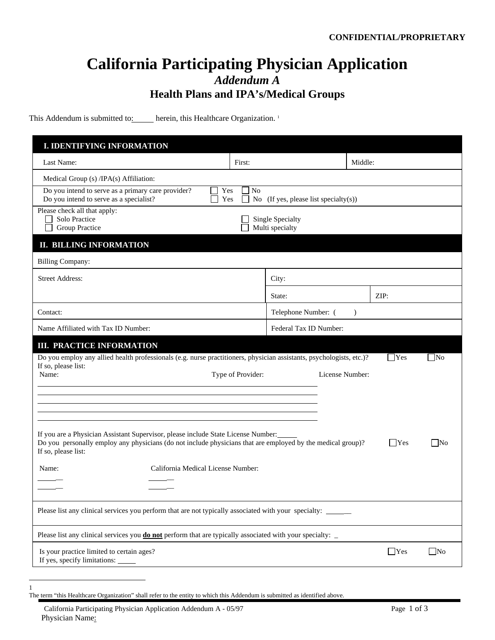# **California Participating Physician Application** *Addendum A* **Health Plans and IPA's/Medical Groups**

This Addendum is submitted to: herein, this Healthcare Organization.<sup>1</sup>

| <b>I. IDENTIFYING INFORMATION</b>                                                                                                                                                                                       |                   |                                       |           |                |           |
|-------------------------------------------------------------------------------------------------------------------------------------------------------------------------------------------------------------------------|-------------------|---------------------------------------|-----------|----------------|-----------|
| Last Name:                                                                                                                                                                                                              | First:            |                                       | Middle:   |                |           |
| Medical Group (s) /IPA(s) Affiliation:                                                                                                                                                                                  |                   |                                       |           |                |           |
| Do you intend to serve as a primary care provider?<br>Yes<br>Do you intend to serve as a specialist?<br>Yes                                                                                                             | N <sub>o</sub>    | No (If yes, please list specialty(s)) |           |                |           |
| Please check all that apply:<br>Solo Practice<br><b>Group Practice</b>                                                                                                                                                  |                   | Single Specialty<br>Multi specialty   |           |                |           |
| <b>II. BILLING INFORMATION</b>                                                                                                                                                                                          |                   |                                       |           |                |           |
| <b>Billing Company:</b>                                                                                                                                                                                                 |                   |                                       |           |                |           |
| <b>Street Address:</b>                                                                                                                                                                                                  |                   | City:                                 |           |                |           |
|                                                                                                                                                                                                                         |                   | State:                                |           | ZIP:           |           |
| Contact:                                                                                                                                                                                                                |                   | Telephone Number: (                   | $\lambda$ |                |           |
| Name Affiliated with Tax ID Number:                                                                                                                                                                                     |                   | Federal Tax ID Number:                |           |                |           |
| <b>III. PRACTICE INFORMATION</b>                                                                                                                                                                                        |                   |                                       |           |                |           |
| Do you employ any allied health professionals (e.g. nurse practitioners, physician assistants, psychologists, etc.)?<br>If so, please list:                                                                             |                   |                                       |           | $\mathbf{Yes}$ | $\Box$ No |
| Name:                                                                                                                                                                                                                   | Type of Provider: | License Number:                       |           |                |           |
|                                                                                                                                                                                                                         |                   |                                       |           |                |           |
|                                                                                                                                                                                                                         |                   |                                       |           |                |           |
| If you are a Physician Assistant Supervisor, please include State License Number:<br>Do you personally employ any physicians (do not include physicians that are employed by the medical group)?<br>If so, please list: |                   |                                       |           | $\Box$ Yes     | $\Box$ No |
| California Medical License Number:<br>Name:                                                                                                                                                                             |                   |                                       |           |                |           |
|                                                                                                                                                                                                                         |                   |                                       |           |                |           |
| Please list any clinical services you perform that are not typically associated with your specialty:                                                                                                                    |                   |                                       |           |                |           |
| Please list any clinical services you <b>do not</b> perform that are typically associated with your specialty: _                                                                                                        |                   |                                       |           |                |           |
| Is your practice limited to certain ages?<br>If yes, specify limitations:                                                                                                                                               |                   |                                       |           | $\Box$ Yes     | $\Box$ No |

 $\overline{\phantom{a}}$ 1

The term "this Healthcare Organization" shall refer to the entity to which this Addendum is submitted as identified above.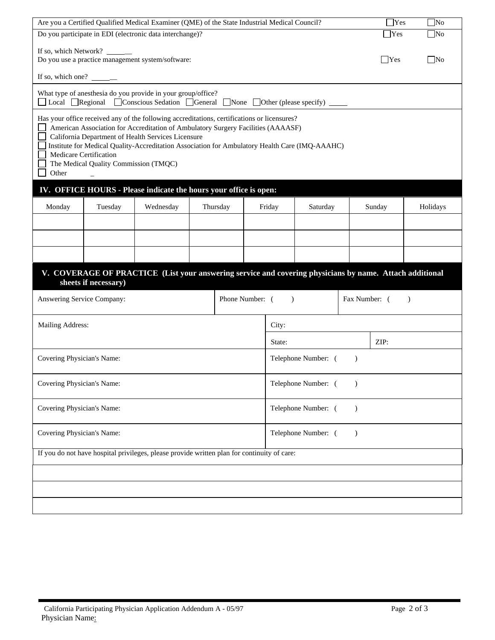| Are you a Certified Qualified Medical Examiner (QME) of the State Industrial Medical Council?<br>$\exists$ Yes                                                                                                                                                                                                                                                                                                      |                       |                                                                                                                                                        |  |                 |  | $\Box$ No |                     |               |            |              |
|---------------------------------------------------------------------------------------------------------------------------------------------------------------------------------------------------------------------------------------------------------------------------------------------------------------------------------------------------------------------------------------------------------------------|-----------------------|--------------------------------------------------------------------------------------------------------------------------------------------------------|--|-----------------|--|-----------|---------------------|---------------|------------|--------------|
|                                                                                                                                                                                                                                                                                                                                                                                                                     |                       | Do you participate in EDI (electronic data interchange)?                                                                                               |  |                 |  |           |                     |               | Yes        | $\square$ No |
|                                                                                                                                                                                                                                                                                                                                                                                                                     | If so, which Network? | Do you use a practice management system/software:                                                                                                      |  |                 |  |           |                     |               | $\Box$ Yes | $\Box$ No    |
| If so, which one? $\_\_\_\_\_\_\_\_\_\_\_\_\_\_\_\_\_\_\_\_\_\_\_\_\_\_\_\_\_\_\_\_\_$                                                                                                                                                                                                                                                                                                                              |                       |                                                                                                                                                        |  |                 |  |           |                     |               |            |              |
|                                                                                                                                                                                                                                                                                                                                                                                                                     |                       | What type of anesthesia do you provide in your group/office?<br>□ Local □ Regional □ Conscious Sedation □ General □ None □ Other (please specify) ____ |  |                 |  |           |                     |               |            |              |
| Has your office received any of the following accreditations, certifications or licensures?<br>American Association for Accreditation of Ambulatory Surgery Facilities (AAAASF)<br>California Department of Health Services Licensure<br>Institute for Medical Quality-Accreditation Association for Ambulatory Health Care (IMQ-AAAHC)<br>Medicare Certification<br>The Medical Quality Commission (TMQC)<br>Other |                       |                                                                                                                                                        |  |                 |  |           |                     |               |            |              |
|                                                                                                                                                                                                                                                                                                                                                                                                                     |                       | IV. OFFICE HOURS - Please indicate the hours your office is open:                                                                                      |  |                 |  |           |                     |               |            |              |
| Monday                                                                                                                                                                                                                                                                                                                                                                                                              | Tuesday               | Wednesday                                                                                                                                              |  | Thursday        |  | Friday    | Saturday            |               | Sunday     | Holidays     |
|                                                                                                                                                                                                                                                                                                                                                                                                                     |                       |                                                                                                                                                        |  |                 |  |           |                     |               |            |              |
|                                                                                                                                                                                                                                                                                                                                                                                                                     |                       |                                                                                                                                                        |  |                 |  |           |                     |               |            |              |
|                                                                                                                                                                                                                                                                                                                                                                                                                     |                       |                                                                                                                                                        |  |                 |  |           |                     |               |            |              |
|                                                                                                                                                                                                                                                                                                                                                                                                                     | sheets if necessary)  | V. COVERAGE OF PRACTICE (List your answering service and covering physicians by name. Attach additional                                                |  |                 |  |           |                     |               |            |              |
| Answering Service Company:                                                                                                                                                                                                                                                                                                                                                                                          |                       |                                                                                                                                                        |  | Phone Number: ( |  | $\lambda$ |                     | Fax Number: ( |            | $\lambda$    |
| Mailing Address:                                                                                                                                                                                                                                                                                                                                                                                                    |                       |                                                                                                                                                        |  |                 |  | City:     |                     |               |            |              |
|                                                                                                                                                                                                                                                                                                                                                                                                                     |                       |                                                                                                                                                        |  |                 |  | State:    |                     |               | ZIP:       |              |
| Covering Physician's Name:                                                                                                                                                                                                                                                                                                                                                                                          |                       |                                                                                                                                                        |  |                 |  |           | Telephone Number: ( | $\lambda$     |            |              |
| Covering Physician's Name:                                                                                                                                                                                                                                                                                                                                                                                          |                       |                                                                                                                                                        |  |                 |  |           | Telephone Number: ( | $\lambda$     |            |              |
| Covering Physician's Name:                                                                                                                                                                                                                                                                                                                                                                                          |                       |                                                                                                                                                        |  |                 |  |           | Telephone Number: ( | $\lambda$     |            |              |
| Covering Physician's Name:<br>Telephone Number: (<br>$\mathcal{E}$                                                                                                                                                                                                                                                                                                                                                  |                       |                                                                                                                                                        |  |                 |  |           |                     |               |            |              |
|                                                                                                                                                                                                                                                                                                                                                                                                                     |                       | If you do not have hospital privileges, please provide written plan for continuity of care:                                                            |  |                 |  |           |                     |               |            |              |
|                                                                                                                                                                                                                                                                                                                                                                                                                     |                       |                                                                                                                                                        |  |                 |  |           |                     |               |            |              |
|                                                                                                                                                                                                                                                                                                                                                                                                                     |                       |                                                                                                                                                        |  |                 |  |           |                     |               |            |              |
|                                                                                                                                                                                                                                                                                                                                                                                                                     |                       |                                                                                                                                                        |  |                 |  |           |                     |               |            |              |
|                                                                                                                                                                                                                                                                                                                                                                                                                     |                       |                                                                                                                                                        |  |                 |  |           |                     |               |            |              |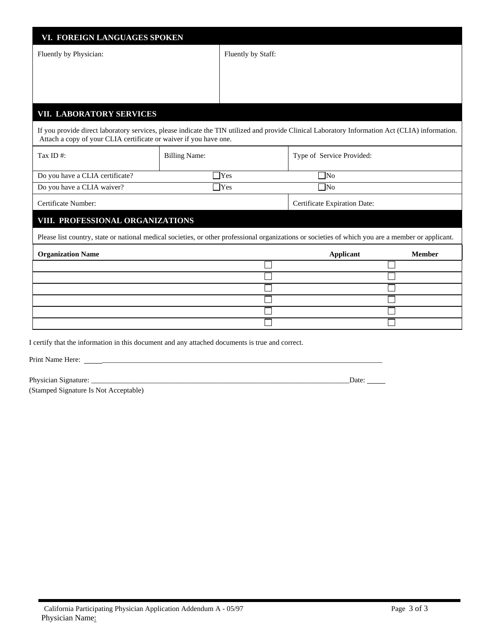| VI. FOREIGN LANGUAGES SPOKEN                                      |                      |                    |                                                                                                                                                    |               |
|-------------------------------------------------------------------|----------------------|--------------------|----------------------------------------------------------------------------------------------------------------------------------------------------|---------------|
| Fluently by Physician:                                            |                      | Fluently by Staff: |                                                                                                                                                    |               |
|                                                                   |                      |                    |                                                                                                                                                    |               |
|                                                                   |                      |                    |                                                                                                                                                    |               |
|                                                                   |                      |                    |                                                                                                                                                    |               |
| VII. LABORATORY SERVICES                                          |                      |                    |                                                                                                                                                    |               |
| Attach a copy of your CLIA certificate or waiver if you have one. |                      |                    | If you provide direct laboratory services, please indicate the TIN utilized and provide Clinical Laboratory Information Act (CLIA) information.    |               |
| Tax ID $#$ :                                                      | <b>Billing Name:</b> |                    | Type of Service Provided:                                                                                                                          |               |
| Do you have a CLIA certificate?                                   |                      | <b>Yes</b>         | $\neg$ No                                                                                                                                          |               |
| Do you have a CLIA waiver?                                        |                      | <b>T</b> Yes       | $\neg$ No                                                                                                                                          |               |
| Certificate Number:                                               |                      |                    | Certificate Expiration Date:                                                                                                                       |               |
| VIII. PROFESSIONAL ORGANIZATIONS                                  |                      |                    |                                                                                                                                                    |               |
|                                                                   |                      |                    | Please list country, state or national medical societies, or other professional organizations or societies of which you are a member or applicant. |               |
| <b>Organization Name</b>                                          |                      |                    | <b>Applicant</b>                                                                                                                                   | <b>Member</b> |
|                                                                   |                      |                    |                                                                                                                                                    |               |
|                                                                   |                      |                    |                                                                                                                                                    |               |
|                                                                   |                      |                    |                                                                                                                                                    |               |
|                                                                   |                      |                    |                                                                                                                                                    |               |
|                                                                   |                      |                    |                                                                                                                                                    |               |
|                                                                   |                      |                    |                                                                                                                                                    |               |

Print Name Here: \_\_\_\_\_\_\_\_\_\_\_\_\_\_\_\_\_\_\_\_\_\_\_\_\_\_\_\_\_\_\_\_\_\_\_\_\_\_\_\_\_\_\_\_\_\_\_\_\_\_\_\_\_\_\_\_\_\_\_\_\_\_\_\_\_\_\_\_\_\_\_\_\_\_\_\_\_

Physician Signature: \_\_\_\_\_\_\_\_\_\_\_\_\_\_\_\_\_\_\_\_\_\_\_\_\_\_\_\_\_\_\_\_\_\_\_\_\_\_\_\_\_\_\_\_\_\_\_\_\_\_\_\_\_\_\_\_\_\_\_\_\_\_\_\_\_\_\_\_\_\_\_Date:

(Stamped Signature Is Not Acceptable)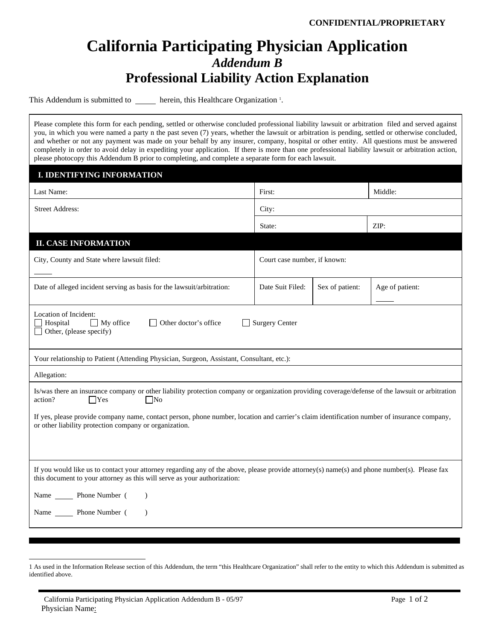# **California Participating Physician Application** *Addendum B* **Professional Liability Action Explanation**

This Addendum is submitted to \_\_\_\_\_\_ herein, this Healthcare Organization <sup>1</sup>.

Please complete this form for each pending, settled or otherwise concluded professional liability lawsuit or arbitration filed and served against you, in which you were named a party n the past seven (7) years, whether the lawsuit or arbitration is pending, settled or otherwise concluded, and whether or not any payment was made on your behalf by any insurer, company, hospital or other entity. All questions must be answered completely in order to avoid delay in expediting your application. If there is more than one professional liability lawsuit or arbitration action, please photocopy this Addendum B prior to completing, and complete a separate form for each lawsuit.

| <b>I. IDENTIFYING INFORMATION</b>                                                                                                                                                                                                                                     |                              |                 |                 |  |  |  |
|-----------------------------------------------------------------------------------------------------------------------------------------------------------------------------------------------------------------------------------------------------------------------|------------------------------|-----------------|-----------------|--|--|--|
| Last Name:                                                                                                                                                                                                                                                            | First:                       | Middle:         |                 |  |  |  |
| <b>Street Address:</b>                                                                                                                                                                                                                                                | City:                        |                 |                 |  |  |  |
|                                                                                                                                                                                                                                                                       | State:                       |                 | ZIP:            |  |  |  |
| <b>II. CASE INFORMATION</b>                                                                                                                                                                                                                                           |                              |                 |                 |  |  |  |
| City, County and State where lawsuit filed:                                                                                                                                                                                                                           | Court case number, if known: |                 |                 |  |  |  |
| Date of alleged incident serving as basis for the lawsuit/arbitration:                                                                                                                                                                                                | Date Suit Filed:             | Sex of patient: | Age of patient: |  |  |  |
| Location of Incident:<br>Hospital<br>$\Box$ My office<br>Other doctor's office<br><b>Surgery Center</b><br>$\mathbf{I}$<br>Other, (please specify)                                                                                                                    |                              |                 |                 |  |  |  |
| Your relationship to Patient (Attending Physician, Surgeon, Assistant, Consultant, etc.):                                                                                                                                                                             |                              |                 |                 |  |  |  |
| Allegation:                                                                                                                                                                                                                                                           |                              |                 |                 |  |  |  |
| Is/was there an insurance company or other liability protection company or organization providing coverage/defense of the lawsuit or arbitration<br>$\Box$ Yes<br>$\square$ No<br>action?                                                                             |                              |                 |                 |  |  |  |
| If yes, please provide company name, contact person, phone number, location and carrier's claim identification number of insurance company,<br>or other liability protection company or organization.                                                                 |                              |                 |                 |  |  |  |
| If you would like us to contact your attorney regarding any of the above, please provide attorney(s) name(s) and phone number(s). Please fax<br>this document to your attorney as this will serve as your authorization:<br>Name ________ Phone Number (<br>$\lambda$ |                              |                 |                 |  |  |  |
| Name ________ Phone Number (<br>$\lambda$                                                                                                                                                                                                                             |                              |                 |                 |  |  |  |

 $\overline{a}$ 

<sup>1</sup> As used in the Information Release section of this Addendum, the term "this Healthcare Organization" shall refer to the entity to which this Addendum is submitted as identified above.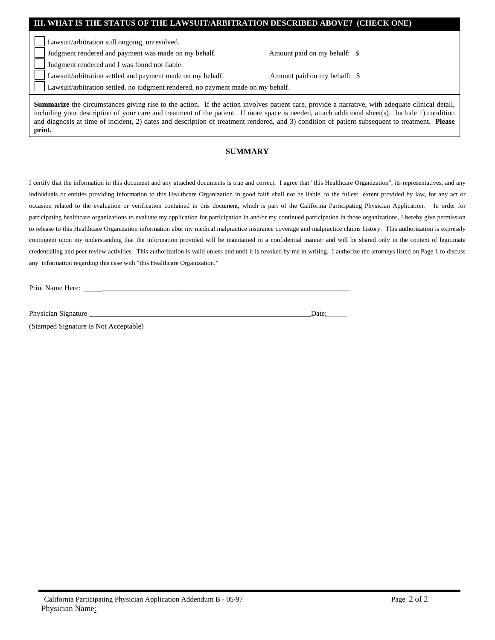| III. WHAT IS THE STATUS OF THE LAWSUIT/ARBITRATION DESCRIBED ABOVE? (CHECK ONE)                                                                                                                                                                                                                           |                              |  |  |  |  |  |
|-----------------------------------------------------------------------------------------------------------------------------------------------------------------------------------------------------------------------------------------------------------------------------------------------------------|------------------------------|--|--|--|--|--|
| Lawsuit/arbitration still ongoing, unresolved.                                                                                                                                                                                                                                                            |                              |  |  |  |  |  |
| Judgment rendered and payment was made on my behalf.                                                                                                                                                                                                                                                      | Amount paid on my behalf: \$ |  |  |  |  |  |
| Judgment rendered and I was found not liable.                                                                                                                                                                                                                                                             |                              |  |  |  |  |  |
| Lawsuit/arbitration settled and payment made on my behalf.                                                                                                                                                                                                                                                | Amount paid on my behalf: \$ |  |  |  |  |  |
| Lawsuit/arbitration settled, no judgment rendered, no payment made on my behalf.                                                                                                                                                                                                                          |                              |  |  |  |  |  |
| <b>Summarize</b> the circumstances giving rise to the action. If the action involves patient care, provide a narrative, with adequate clinical detail,<br>including your description of your care and treatment of the patient. If more space is needed, attach additional sheet(s). Include 1) condition |                              |  |  |  |  |  |

including your description of your care and treatment of the patient. If more space is needed, attach additional sheet(s). Include 1) condition and diagnosis at time of incident, 2) dates and description of treatment rendered, and 3) condition of patient subsequent to treatment. **Please print.**

### **SUMMARY**

I certify that the information in this document and any attached documents is true and correct. I agree that "this Healthcare Organization", its representatives, and any individuals or entities providing information to this Healthcare Organization in good faith shall not be liable, to the fullest extent provided by law, for any act or occasion related to the evaluation or verification contained in this document, which is part of the California Participating Physician Application. In order for participating healthcare organizations to evaluate my application for participation in and/or my continued participation in those organizations, I hereby give permission to release to this Healthcare Organization information abut my medical malpractice insurance coverage and malpractice claims history. This authorization is expressly contingent upon my understanding that the information provided will be maintained in a confidential manner and will be shared only in the context of legitimate credentialing and peer review activities. This authorization is valid unless and until it is revoked by me in writing. I authorize the attorneys listed on Page 1 to discuss any information regarding this case with "this Healthcare Organization."

Print Name Here:

Physician Signature \_\_\_\_\_\_\_\_\_\_\_\_\_\_\_\_\_\_\_\_\_\_\_\_\_\_\_\_\_\_\_\_\_\_\_\_\_\_\_\_\_\_\_\_\_\_\_\_\_\_\_\_\_\_\_\_\_\_\_\_\_Date:

(Stamped Signature Is Not Acceptable)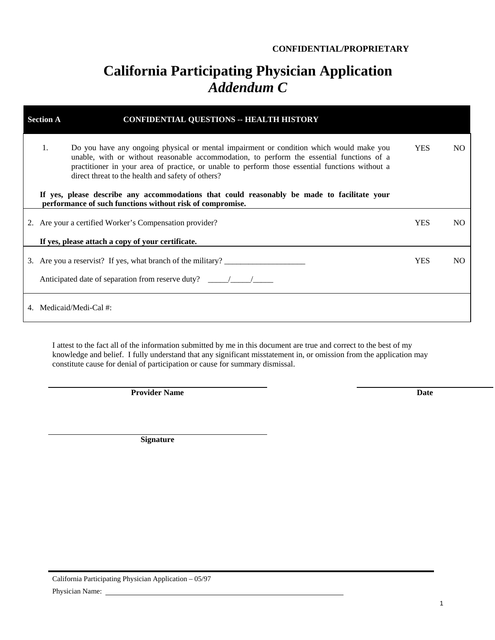### **CONFIDENTIAL/PROPRIETARY**

# **California Participating Physician Application**  *Addendum C*

| <b>CONFIDENTIAL QUESTIONS -- HEALTH HISTORY</b><br><b>Section A</b>                                                                                                                                                                                                                                                                                |            |     |
|----------------------------------------------------------------------------------------------------------------------------------------------------------------------------------------------------------------------------------------------------------------------------------------------------------------------------------------------------|------------|-----|
| 1.<br>Do you have any ongoing physical or mental impairment or condition which would make you<br>unable, with or without reasonable accommodation, to perform the essential functions of a<br>practitioner in your area of practice, or unable to perform those essential functions without a<br>direct threat to the health and safety of others? | <b>YES</b> | NO. |
| If yes, please describe any accommodations that could reasonably be made to facilitate your<br>performance of such functions without risk of compromise.                                                                                                                                                                                           |            |     |
| 2. Are your a certified Worker's Compensation provider?                                                                                                                                                                                                                                                                                            | <b>YES</b> | NO. |
| If yes, please attach a copy of your certificate.                                                                                                                                                                                                                                                                                                  |            |     |
| 3. Are you a reservist? If yes, what branch of the military?                                                                                                                                                                                                                                                                                       | <b>YES</b> | NO. |
| Anticipated date of separation from reserve duty? _______________________________                                                                                                                                                                                                                                                                  |            |     |
| 4. Medicaid/Medi-Cal #:                                                                                                                                                                                                                                                                                                                            |            |     |

I attest to the fact all of the information submitted by me in this document are true and correct to the best of my knowledge and belief. I fully understand that any significant misstatement in, or omission from the application may constitute cause for denial of participation or cause for summary dismissal.

**Provider Name** Date

**Signature**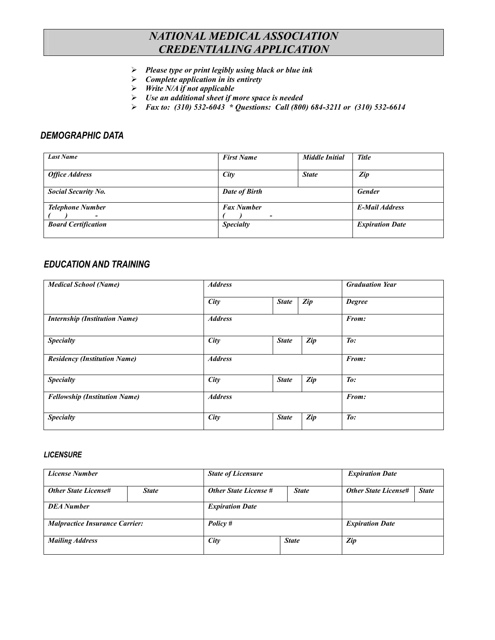# *NATIONAL MEDICAL ASSOCIATION CREDENTIALING APPLICATION*

- -*Please type or print legibly using black or blue ink*
- -*Complete application in its entirety*
- -*Write N/A if not applicable*
- -*Use an additional sheet if more space is needed*
- -*Fax to: (310) 532-6043 \* Questions: Call (800) 684-3211 or (310) 532-6614*

## *DEMOGRAPHIC DATA*

| <b>Last Name</b>           | <b>First Name</b>                             | <b>Middle Initial</b> | <b>Title</b>           |  |
|----------------------------|-----------------------------------------------|-----------------------|------------------------|--|
| <b>Office Address</b>      | City                                          | <b>State</b>          | Zip                    |  |
| <b>Social Security No.</b> | Date of Birth                                 |                       | <b>Gender</b>          |  |
| <b>Telephone Number</b>    | <b>Fax Number</b><br>$\overline{\phantom{a}}$ |                       | <b>E-Mail Address</b>  |  |
| <b>Board Certification</b> | <b>Specialty</b>                              |                       | <b>Expiration Date</b> |  |

# *EDUCATION AND TRAINING*

| <b>Medical School (Name)</b>         | <b>Address</b> |              | <b>Graduation Year</b> |                 |
|--------------------------------------|----------------|--------------|------------------------|-----------------|
|                                      | City           | <b>State</b> | Zip                    | <b>Degree</b>   |
| <b>Internship (Institution Name)</b> | <b>Address</b> |              |                        | From:           |
| <b>Specialty</b>                     | City           | <b>State</b> | Zip                    | To:             |
| <b>Residency (Institution Name)</b>  | <b>Address</b> |              |                        | From:           |
| <b>Specialty</b>                     | City           | <b>State</b> | $\mathbb{Z}ip$         | $\mathit{To}$ : |
| <b>Fellowship (Institution Name)</b> | <b>Address</b> |              | From:                  |                 |
| <b>Specialty</b>                     | City           | <b>State</b> | Zip                    | $\mathit{To}$ : |

### *LICENSURE*

| <b>License Number</b>                 |              | <b>State of Licensure</b>    |              | <b>Expiration Date</b>      |              |
|---------------------------------------|--------------|------------------------------|--------------|-----------------------------|--------------|
| <b>Other State License#</b>           | <b>State</b> | <b>Other State License #</b> | <b>State</b> | <b>Other State License#</b> | <b>State</b> |
| <b>DEA</b> Number                     |              | <b>Expiration Date</b>       |              |                             |              |
| <b>Malpractice Insurance Carrier:</b> |              | Policy #                     |              | <b>Expiration Date</b>      |              |
| <b>Mailing Address</b>                |              | City                         | <b>State</b> | Zip                         |              |